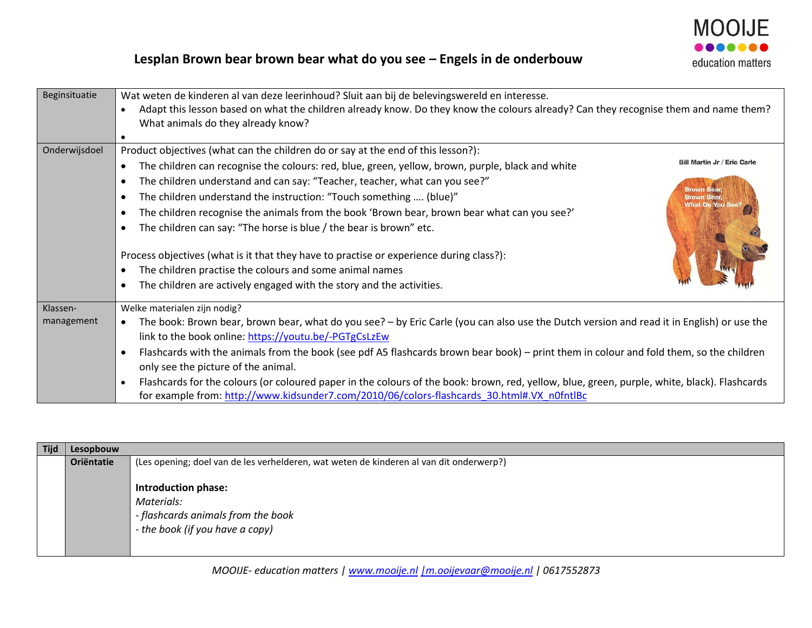

## **Lesplan Brown bear brown bear what do you see – Engels in de onderbouw**

| Beginsituatie | Wat weten de kinderen al van deze leerinhoud? Sluit aan bij de belevingswereld en interesse.                                                                                                                                                            |
|---------------|---------------------------------------------------------------------------------------------------------------------------------------------------------------------------------------------------------------------------------------------------------|
|               | Adapt this lesson based on what the children already know. Do they know the colours already? Can they recognise them and name them?<br>$\bullet$                                                                                                        |
|               | What animals do they already know?                                                                                                                                                                                                                      |
|               |                                                                                                                                                                                                                                                         |
| Onderwijsdoel | Product objectives (what can the children do or say at the end of this lesson?):                                                                                                                                                                        |
|               | <b>Bill Martin Jr / Eric Carle</b><br>The children can recognise the colours: red, blue, green, yellow, brown, purple, black and white<br>$\bullet$                                                                                                     |
|               | The children understand and can say: "Teacher, teacher, what can you see?"<br><b>Brown Bear,</b>                                                                                                                                                        |
|               | The children understand the instruction: "Touch something  (blue)"<br><b>Brown Bear,<br/>What Do You See?</b><br>$\bullet$                                                                                                                              |
|               | The children recognise the animals from the book 'Brown bear, brown bear what can you see?'<br>$\bullet$                                                                                                                                                |
|               | The children can say: "The horse is blue / the bear is brown" etc.                                                                                                                                                                                      |
|               | Process objectives (what is it that they have to practise or experience during class?):<br>The children practise the colours and some animal names<br>The children are actively engaged with the story and the activities.                              |
| Klassen-      | Welke materialen zijn nodig?                                                                                                                                                                                                                            |
| management    | The book: Brown bear, brown bear, what do you see? - by Eric Carle (you can also use the Dutch version and read it in English) or use the                                                                                                               |
|               | link to the book online: https://youtu.be/-PGTgCsLzEw                                                                                                                                                                                                   |
|               | Flashcards with the animals from the book (see pdf A5 flashcards brown bear book) – print them in colour and fold them, so the children                                                                                                                 |
|               | only see the picture of the animal.                                                                                                                                                                                                                     |
|               | Flashcards for the colours (or coloured paper in the colours of the book: brown, red, yellow, blue, green, purple, white, black). Flashcards<br>$\bullet$<br>for example from: http://www.kidsunder7.com/2010/06/colors-flashcards 30.html#.VX n0fntlBc |

| <b>Tijd</b> | Lesopbouw  |                                                                                                            |
|-------------|------------|------------------------------------------------------------------------------------------------------------|
|             | Oriëntatie | (Les opening; doel van de les verhelderen, wat weten de kinderen al van dit onderwerp?)                    |
|             |            | Introduction phase:<br>Materials:<br>- flashcards animals from the book<br>- the book (if you have a copy) |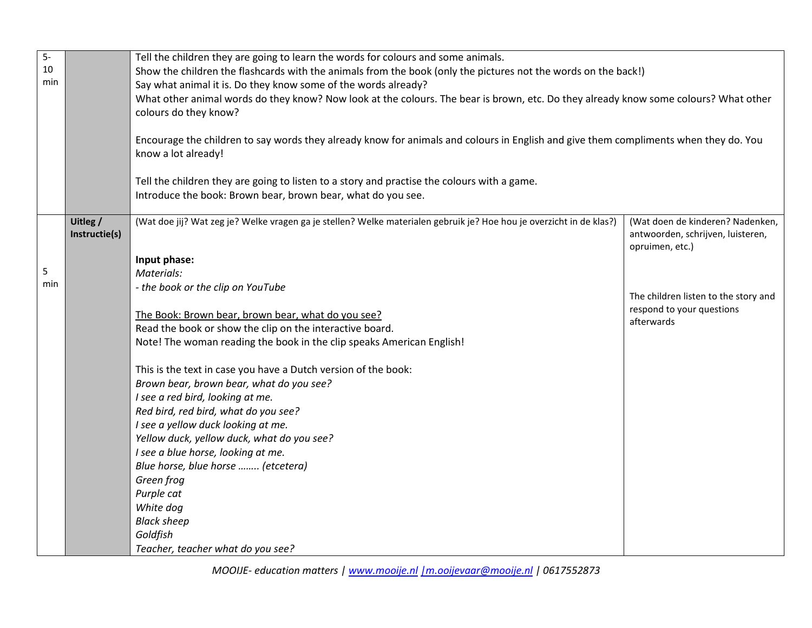| $5-$ |               | Tell the children they are going to learn the words for colours and some animals.                                                    |                                      |
|------|---------------|--------------------------------------------------------------------------------------------------------------------------------------|--------------------------------------|
| 10   |               | Show the children the flashcards with the animals from the book (only the pictures not the words on the back!)                       |                                      |
| min  |               | Say what animal it is. Do they know some of the words already?                                                                       |                                      |
|      |               | What other animal words do they know? Now look at the colours. The bear is brown, etc. Do they already know some colours? What other |                                      |
|      |               | colours do they know?                                                                                                                |                                      |
|      |               |                                                                                                                                      |                                      |
|      |               | Encourage the children to say words they already know for animals and colours in English and give them compliments when they do. You |                                      |
|      |               | know a lot already!                                                                                                                  |                                      |
|      |               |                                                                                                                                      |                                      |
|      |               | Tell the children they are going to listen to a story and practise the colours with a game.                                          |                                      |
|      |               | Introduce the book: Brown bear, brown bear, what do you see.                                                                         |                                      |
|      |               |                                                                                                                                      |                                      |
|      | Uitleg /      | (Wat doe jij? Wat zeg je? Welke vragen ga je stellen? Welke materialen gebruik je? Hoe hou je overzicht in de klas?)                 | (Wat doen de kinderen? Nadenken,     |
|      | Instructie(s) |                                                                                                                                      | antwoorden, schrijven, luisteren,    |
|      |               | Input phase:                                                                                                                         | opruimen, etc.)                      |
| 5    |               | Materials:                                                                                                                           |                                      |
| min  |               | - the book or the clip on YouTube                                                                                                    |                                      |
|      |               |                                                                                                                                      | The children listen to the story and |
|      |               | The Book: Brown bear, brown bear, what do you see?                                                                                   | respond to your questions            |
|      |               | Read the book or show the clip on the interactive board.                                                                             | afterwards                           |
|      |               | Note! The woman reading the book in the clip speaks American English!                                                                |                                      |
|      |               |                                                                                                                                      |                                      |
|      |               | This is the text in case you have a Dutch version of the book:                                                                       |                                      |
|      |               | Brown bear, brown bear, what do you see?                                                                                             |                                      |
|      |               | I see a red bird, looking at me.                                                                                                     |                                      |
|      |               | Red bird, red bird, what do you see?                                                                                                 |                                      |
|      |               | I see a yellow duck looking at me.                                                                                                   |                                      |
|      |               | Yellow duck, yellow duck, what do you see?                                                                                           |                                      |
|      |               | I see a blue horse, looking at me.                                                                                                   |                                      |
|      |               | Blue horse, blue horse  (etcetera)                                                                                                   |                                      |
|      |               | Green frog                                                                                                                           |                                      |
|      |               | Purple cat                                                                                                                           |                                      |
|      |               | White dog                                                                                                                            |                                      |
|      |               | <b>Black sheep</b>                                                                                                                   |                                      |
|      |               | Goldfish                                                                                                                             |                                      |
|      |               | Teacher, teacher what do you see?                                                                                                    |                                      |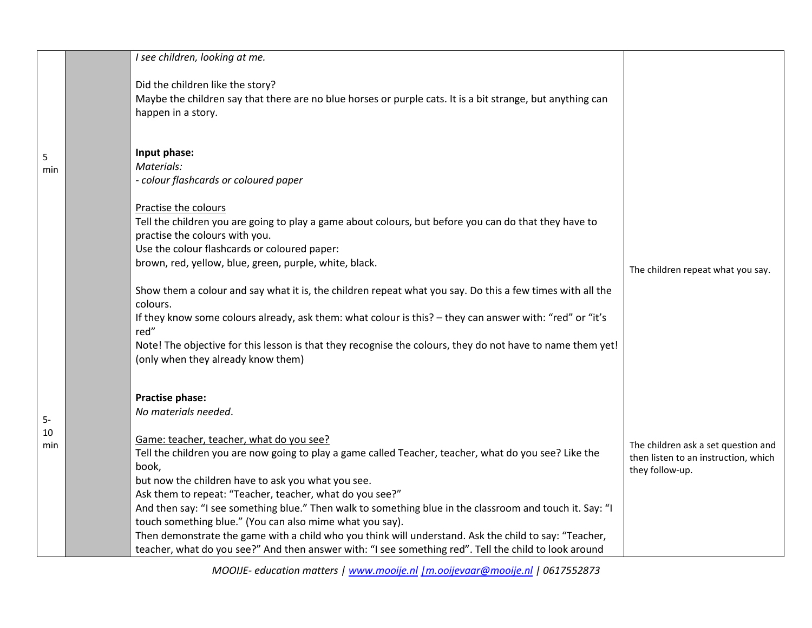| Did the children like the story?<br>Maybe the children say that there are no blue horses or purple cats. It is a bit strange, but anything can                                                                                                                                                                                                                                                                                                                                                                                                                |                                                                                                                                                                                                                                                                               |
|---------------------------------------------------------------------------------------------------------------------------------------------------------------------------------------------------------------------------------------------------------------------------------------------------------------------------------------------------------------------------------------------------------------------------------------------------------------------------------------------------------------------------------------------------------------|-------------------------------------------------------------------------------------------------------------------------------------------------------------------------------------------------------------------------------------------------------------------------------|
| happen in a story.                                                                                                                                                                                                                                                                                                                                                                                                                                                                                                                                            |                                                                                                                                                                                                                                                                               |
| Input phase:<br>Materials:<br>- colour flashcards or coloured paper                                                                                                                                                                                                                                                                                                                                                                                                                                                                                           |                                                                                                                                                                                                                                                                               |
| Practise the colours<br>Tell the children you are going to play a game about colours, but before you can do that they have to<br>practise the colours with you.<br>Use the colour flashcards or coloured paper:                                                                                                                                                                                                                                                                                                                                               |                                                                                                                                                                                                                                                                               |
| Show them a colour and say what it is, the children repeat what you say. Do this a few times with all the<br>colours.<br>If they know some colours already, ask them: what colour is this? - they can answer with: "red" or "it's<br>red"                                                                                                                                                                                                                                                                                                                     | The children repeat what you say.                                                                                                                                                                                                                                             |
| (only when they already know them)<br>Practise phase:<br>No materials needed.                                                                                                                                                                                                                                                                                                                                                                                                                                                                                 |                                                                                                                                                                                                                                                                               |
| Game: teacher, teacher, what do you see?<br>Tell the children you are now going to play a game called Teacher, teacher, what do you see? Like the<br>book,<br>but now the children have to ask you what you see.<br>Ask them to repeat: "Teacher, teacher, what do you see?"<br>And then say: "I see something blue." Then walk to something blue in the classroom and touch it. Say: "I<br>touch something blue." (You can also mime what you say).<br>Then demonstrate the game with a child who you think will understand. Ask the child to say: "Teacher, | The children ask a set question and<br>then listen to an instruction, which<br>they follow-up.                                                                                                                                                                                |
|                                                                                                                                                                                                                                                                                                                                                                                                                                                                                                                                                               | brown, red, yellow, blue, green, purple, white, black.<br>Note! The objective for this lesson is that they recognise the colours, they do not have to name them yet!<br>teacher, what do you see?" And then answer with: "I see something red". Tell the child to look around |

*MOOIJE- education matters | [www.mooije.nl](http://www.mooije.nl/) [|m.ooijevaar@mooije.nl](mailto:%7Cm.ooijevaar@mooije.nl) | 0617552873*